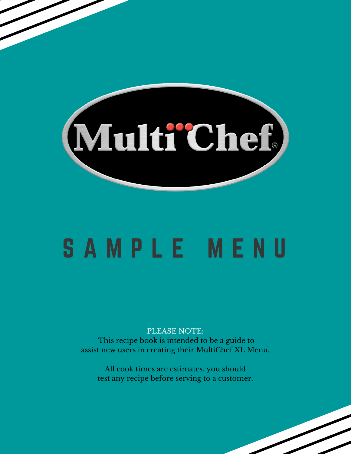

# S A M P L E M E N U

PLEASE NOTE: This recipe book is intended to be a guide to assist new users in creating their MultiChef XL Menu.

All cook times are estimates, you should test any recipe before serving to a customer.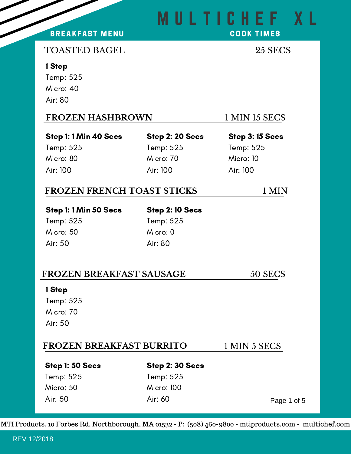## M U L T I C H E F X L

#### BREAKFAST MENU

**COOK TIMES** 

#### TOASTED BAGEL 25 SECS

#### 1 Step

Temp: 525 Micro: 40 Air: 80

Micro: 80

Air: 100

#### **FROZEN HASHBROWN** 1 MIN 15 SECS

#### Step 1: 1 Min 40 Secs Temp: 525

Step 2: 20 Secs Temp: 525 Micro: 70 Air: 100

Step 3: 15 Secs Temp: 525 Micro: 10 Air: 100

#### **FROZEN FRENCH TOAST STICKS** 1 MIN

Step 1: 1 Min 50 Secs Temp: 525 Micro: 50

#### Step 2: 10 Secs Temp: 525

Micro: 0 Air: 80

#### **FROZEN BREAKFAST SAUSAGE** 50 SECS

#### 1 Step

Air: 50

Temp: 525 Micro: 70 Air: 50

#### **FROZEN BREAKFAST BURRITO** 1 MIN 5 SECS

#### Step 1: 50 Secs

### Temp: 525 Micro: 50 Air: 50

Step 2: 30 Secs Temp: 525 Micro: 100 Air: 60

Page 1 of 5

MTI Products, 10 Forbes Rd, Northborough, MA 01532 - P: (508) 460-9800 - mtiproducts.com - multichef.com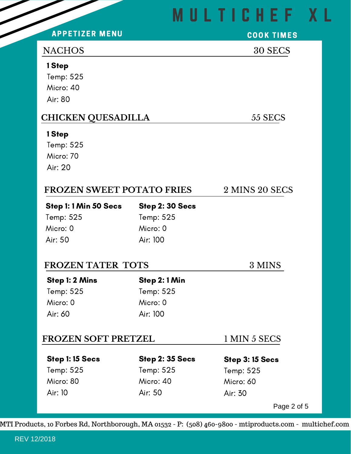## M U L T I C H E F X L

#### **APPETIZER MENU**

## **COOK TIMES**

#### NACHOS 30 SECS

#### 1 Step

Temp: 525 Micro: 40 Air: 80

### **CHICKEN QUESADILLA** 55 SECS

#### 1 Step

Temp: 525 Micro: 70 Air: 20

| 2 MINS 20 SECS<br>FROZEN SWEET POTATO FRIES |
|---------------------------------------------|
|---------------------------------------------|

Step 2: 30 Secs

Step 1: 1 Min 50 Secs Temp: 525 Micro: 0 Air: 50

Temp: 525 Micro: 0 Air: 100

#### **FROZEN TATER TOTS** 3 MINS

Step 1: 2 Mins Temp: 525 Micro: 0 Air: 60

Step 2: 1 Min Temp: 525 Micro: 0 Air: 100

#### **FROZEN SOFT PRETZEL** 1 MIN 5 SECS

Step 1: 15 Secs Temp: 525 Micro: 80 Air: 10

Step 2: 35 Secs Temp: 525 Micro: 40 Air: 50

Step 3: 15 Secs Temp: 525 Micro: 60 Air: 30

Page 2 of 5

MTI Products, 10 Forbes Rd, Northborough, MA 01532 - P: (508) 460-9800 - mtiproducts.com - multichef.com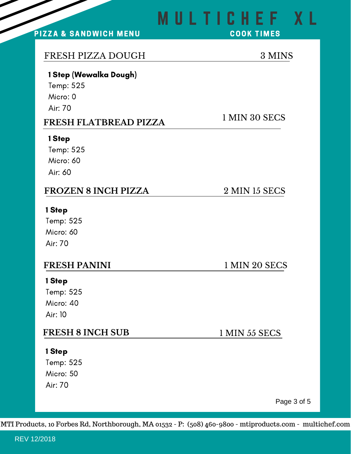#### PIZZA & SANDWICH MENU

#### FRESH PIZZA DOUGH 3 MINS

#### 1 Step (Wewalka Dough)

Temp: 525 Micro: 0 Air: 70

#### **FRESH FLATBREAD PIZZA**

#### 1 Step

Temp: 525 Micro: 60 Air: 60

#### **FROZEN 8 INCH PIZZA** 2 MIN 15 SECS

#### 1 Step

Temp: 525 Micro: 60 Air: 70

#### **FRESH PANINI** 1 MIN 20 SECS

#### 1 Step

Temp: 525 Micro: 40 Air: 10

#### **FRESH 8 INCH SUB** 1 MIN 55 SECS

#### 1 Step

Temp: 525 Micro: 50 Air: 70

Page 3 of 5

MTI Products, 10 Forbes Rd, Northborough, MA 01532 - P: (508) 460-9800 - mtiproducts.com - multichef.com

# M U L T I C H E F X L

#### **COOK TIMES**

1 MIN 30 SECS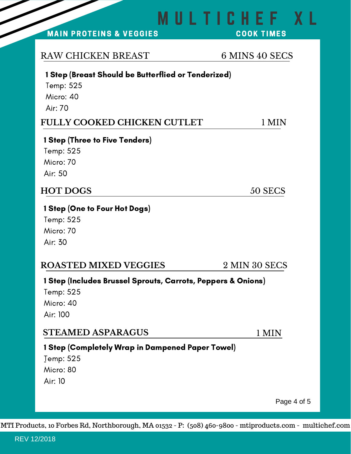**STEAMED ASPARAGUS** 1 MIN **ROASTED MIXED VEGGIES** 2 MIN 30 SECS 1 Step (Includes Brussel Sprouts, Carrots, Peppers & Onions) Temp: 525 Micro: 40 1 Step (Completely Wrap in Dampened Paper Towel)

Temp: 525 Micro: 80 Air: 10

Air: 100

MTI Products, 10 Forbes Rd, Northborough, MA 01532 - P: (508) 460-9800 - mtiproducts.com - multichef.com

## 1 Step (Breast Should be Butterflied or Tenderized)

Temp: 525 Micro: 40 Air: 70

#### **FULLY COOKED CHICKEN CUTLET** 1 MIN

#### 1 Step (Three to Five Tenders)

Temp: 525 Micro: 70 Air: 50

### **HOT DOGS** 50 SECS

#### 1 Step (One to Four Hot Dogs)

Temp: 525 Micro: 70 Air: 30

Page 4 of 5

### RAW CHICKEN BREAST 6 MINS 40 SECS

M U L T I C H E F X L

MAIN PROTEINS & VEGGIES

**COOK TIMES**